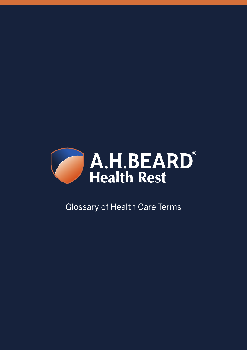

## Glossary of Health Care Terms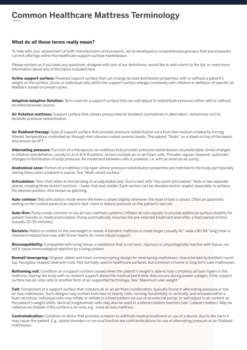## **Common Healthcare Mattress Terminology**

## **What do all those terms really mean?**

To help with your assessment of both manufacturers and products, we've developed a comprehensive glossary that encompasses current offerings within the healthcare support surface marketplace.

Please contact us if you have any questions; disagree with one of our definitions; would like to add a term to the list; or need more information about any of the topics included here.

**Active support surface:** Powered support surface that can change its load distribution properties, with or without a patient's weight on the surface. Zones or individual cells within the support surface change constantly with inflation or deflation of specific air bladders, based on preset cycles.

**Adaptive/adaptive flotation:** Term used for a support surface that can self-adjust to redistribute pressure, either with or without an external power source.

**Air flotation mattress:** Support surface that utilizes pressurized air bladders (sometimes in alternation, sometimes not) to facilitate pressure redistribution.

**Air fluidized therapy:** Type of support surface that provides pressure redistribution via a fluid-like medium created by forcing filtered, temperature-controlled air through mini silicone-coated ceramic beads. The patient "floats" on a sheet on top of the beads. Also known as AFT.

**Alternating pressure:** Function of a therapeutic air mattress that provides pressure redistribution via predictable, timed changes in inflation and deflation, usually in an A-B-A-B pattern, across multiple air or air/foam cells. Provides regular, frequent, automatic changes in distribution of body pressure. Air movement between cells is powered, i.e. with an external air pump.

**Anatomical zone:** Portion of a mattress's top layer whose pressure redistribution properties are matched to the body part typically resting there when a patient is supine. See "Multi-zoned surface."

**Articulation:** Term that refers to the bending of an adjustable bed. Such a bed with "two-point articulation" folds in two separate places, creating three distinct sections – head, foot and middle. Each section can be elevated and/or angled separately to achieve the desired position. Also known as gatching.

**Auto contour:** Bed articulation mode where the knee is raised slightly whenever the head of bed is raised. Often an automatic setting on the control panel of an electric bed. Used to reduce pressure on the patient's sacrum.

**Auto-firm:** Pump mode common in low air loss mattress systems. Inflates all cells equally to provide additional surface stability for patient transfer or medical procedure. Pump automatically resumes the pre-selected treatment level after a fixed period of time (usually 20-30 minutes).

**Bariatric:** Refers or relates to the overweight or obese. A bariatric mattress is made larger (usually 42" wide x 80-84" long) than a standard medical twin size, with firmer foams for more robust support.

**Biocompatibility:** Compatible with living tissue; a substance that is not toxic, injurious or physiologically reactive with tissue, nor will it cause immunological rejection by a living system.

**Bonnell innerspring:** Original, oldest and most common spring design for innerspring mattresses, characterized by knotted, round top, hourglass-shaped steel wire coils. Not normally used in healthcare surfaces, but common in home or long term care mattresses.

**Bottoming out:** Condition on a support surface caused when the patient's weight is able to fully compress all foam layers in the mattress, leaving the body with no resilient support above the medical bed frame. Also occurs during power outages, if the support surface has air-only cells or another form of air-supported technology. See "Maximum user weight."

**Cell:** Component of a support surface that contains air or an air/foam combination, typically found in alternating pressure or low air loss mattresses. Such designs may contain from four to twenty cells, running horizontally or vertically, and encased within a foam structure. Individual cells may inflate or deflate in a fixed pattern via use of an external pump; or self-adjust in air content as the patient's weight shifts. Vertical (longitudinal) cells may also be used in a lateral rotation function (see "Lateral rotation). May be called an air bladder if the surface is air-only, e.g., a low air loss mattress.

**Contraindication:** Condition or factor that provides a reason to withhold medical treatment or use of a device, due to the harm it may cause the patient. E.g., spinal disorders or cervical traction are contraindications for use of alternating pressure or air fluidized mattresses.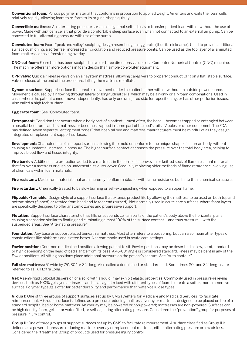**Conventional foam:** Porous polymer material that conforms in proportion to applied weight. Air enters and exits the foam cells relatively rapidly, allowing foam to re-form to its original shape quickly.

**Convertible mattress:** An alternating pressure surface design that self-adjusts to transfer patient load, with or without the use of power. Made with air/foam cells that provide a comfortable sleep surface even when not connected to an external air pump. Can be converted to full alternating pressure with use of the pump.

**Convoluted foam:** Foam "peak and valley" sculpting design resembling an egg crate (thus its nickname). Used to provide additional surface cushioning, a softer feel, increased air circulation and reduced pressure points. Can be used as the top layer of a laminated foam mattress, or as a freestanding overlay.

**CNC-cut foam:** Foam that has been sculpted in two or three directions via use of a Computer Numerical Control (CNC) machine. The machine offers far more options in foam design than simple convoluter equipment.

**CPR valve:** Quick air release valve on an air system mattress, allowing caregivers to properly conduct CPR on a flat, stable surface. Valve is closed at the end of the procedure, letting the mattress re-inflate.

**Dynamic surface:** Support surface that creates movement under the patient either with or without an outside power source. Movement is caused by air flowing through lateral or longitudinal cells, which may be air-only or air/foam combinations. Used in cases where the patient cannot move independently; has only one uninjured side for repositioning; or has other perfusion issues. Also called a high tech surface.

**Egg crate foam:** See "Convoluted foam.

**Entrapment:** Condition that occurs when a body part of a patient – most often, the head – becomes trapped or entangled between a hospital bed frame and its mattress, or becomes trapped in some part of the bed's rails, IV poles or other equipment. The FDA has defined seven separate "entrapment zones" that hospital bed and mattress manufacturers must be mindful of as they design integrated or replacement support surfaces.

**Envelopment:** Characteristic of a support surface allowing it to mold or conform to the unique shape of a human body, without causing a substantial increase in pressure. The higher surface contact decreases the pressure over the total body area, helping to improve blood flow and tissue integrity.

Fire barrier: Additional fire protection added to a mattress, in the form of a nonwoven or knitted sock of flame resistant material that fits over a mattress or cushion underneath its outer cover. Gradually replacing older methods of flame retardance involving use of chemicals within foam materials.

Fire resistant: Made from materials that are inherently nonflammable, i.e. with flame resistance built into their chemical structures.

**Fire retardant:** Chemically treated to be slow burning or self-extinguishing when exposed to an open flame.

**Flippable/turnable:** Design style of a support surface that extends product life by allowing the mattress to be used on both top and bottom sides (flipped) or rotated from head end to foot end (turned). Not normally used in acute care surfaces, where foam layers are specifically designed to offer anatomic zones and progressive support.

**Flotation:** Support surface characteristic that lifts or suspends certain parts of the patient's body above the horizontal plane, causing a sensation similar to floating and eliminating almost 100% of the surface contact – and thus pressure – with the suspended areas. See "Alternating pressure."

**Foundation:** Any base or support placed beneath a mattress. Most often refers to a box spring, but can also mean other types of constructions like platforms and slatted bases. Not commonly used in acute care settings.

**Fowler position:** Common medical bed position allowing patient to sit. Fowler positions may be described as low, semi, standard or high depending on the head of bed's angle from its base. A 45-60° angle is considered standard. Knees may be bent in any of the Fowler positions. All sitting positions place additional pressure on the patient's sacrum. See "Auto contour."

**Full size mattress:** 5" wide by 75", 80" or 84" long. Also called a double bed or standard bed. Sometimes 80" and 84" lengths are referred to as Full Extra Long.

**Gel:** A semi-rigid colloidal dispersion of a solid with a liquid; may exhibit elastic properties. Commonly used in pressure-relieving devices, both as 100% gel layers or inserts, and as an agent mixed with different types of foam to create a softer, more immersive surface. Polymer type gels offer far better durability and performance than water/cellulose types.

**Group I:** One of three groups of support surfaces set up by CMS (Centers for Medicare and Medicaid Services) to facilitate reimbursement. A Group I surface is defined as a pressure reducing mattress overlay or mattress, designed to be placed on top of a standard hospital bed or home mattress. An overlay may be powered or non-powered; mattresses are non-powered. Surfaces can be high density foam, gel, air or water filled, or self-adjusting alternating pressure. Considered the "prevention" group for purposes of pressure injury control.

**Group II:** One of three groups of support surfaces set up by CMS to facilitate reimbursement. A surface classified as Group II is defined as a powered, pressure reducing mattress overlay or replacement mattress, either alternating pressure or low air loss. Considered the "treatment" group of products used for pressure injury control.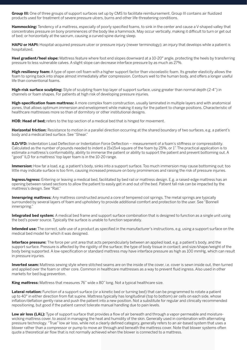**Group III:** One of three groups of support surfaces set up by CMS to facilitate reimbursement. Group III contains air fluidized products used for treatment of severe pressure ulcers, burns and other life-threatening conditions.

**Hammocking:** Tendency of a mattress, especially of poorly specified foams, to sink in the center and cause a V-shaped valley that concentrates pressure on bony prominences of the body like a hammock. May occur vertically, making it difficult to turn or get out of bed; or horizontally at the sacrum, causing a curved spine during sleep.

**HAPU or HAPI:** Hospital-acquired pressure ulcer or pressure injury (newer terminology); an injury that develops while a patient is hospitalized.

**Heel gradient/heel slope:** Mattress feature where foot end slopes downward at a 10-20° angle, protecting the heels by transferring pressure to less vulnerable calves. A slight slope can decrease interface pressure by as much as 27%.

**High resiliency foam:** A type of open cell foam with a higher support factor than viscoelastic foam. Its greater elasticity allows the foam to spring back into shape almost immediately after compression. Contours well to the human body, and offers a longer useful life than conventional foams.

**High-risk surface sculpting:** Style of sculpting foam top layer of support surface, using greater than normal depth (2-4") in channels or foam shapes. For patients at high risk of developing pressure injuries.

**High-specification foam mattress:** A more complex foam construction, usually laminated in multiple layers and with anatomical zones, that allows optimum immersion and envelopment while making it easy for the patient to change positions. Characteristic of healthcare mattresses more so than of dormitory or other institutional designs.

**HOB: Head of bed;** refers to the top section of a medical bed that is hinged for movement.

**Horizontal friction:** Resistance to motion in a parallel direction occurring at the shared boundary of two surfaces, e.g. a patient's body and a medical bed surface. See "Shear."

**ILD/IFD:** Indentation Load Deflection or Indentation Force Deflection – measurement of a foam's stiffness or compressibility. Calculated as the number of pounds needed to indent a 15x15x4 square of the foam by 25%, or 1". The practical application is to estimate a mattress's conformability, ability to immerse the patient or ability to support the patient and prevent bottoming out. A "good" ILD for a mattress' top layer foam is in the 10-20 range.

**Immersion:** How far a load, e.g. a patient's body, sinks into a support surface. Too much immersion may cause bottoming out; too little may indicate surface is too firm, causing increased pressure on bony prominences and raising the risk of pressure injuries.

**Ingress/egress:** Entering or leaving a medical bed, facilitated by bed rail or mattress design. E.g. a raised-edge mattress has an opening between raised sections to allow the patient to easily get in and out of the bed. Patient fall risk can be impacted by the mattress's design. See "Rail."

**Innerspring mattress:** Any mattress constructed around a core of tempered coil springs. The metal springs are typically surrounded by several layers of foam and upholstery to provide additional comfort and protection to the user. See "Bonnell innerspring."

**Integrated bed system:** A medical bed frame and support surface combination that is designed to function as a single unit using the bed's power source. Typically the surface is unable to function separately.

**Intended use:** The correct, safe use of a product as specified in the manufacturer's instructions, e.g. using a support surface on the medical bed model for which it was designed.

**Interface pressure:** The force per unit area that acts perpendicularly between an applied load, e.g. a patient's body, and the support surface. Pressure is affected by the rigidity of the surface; the type of body tissue in contact; and size/shape/weight of the body being supported. A low-specification or standard mattress may have interface pressure as high as 100 mmHg, which can result in pressure injuries.

**Inverted seam:** Mattress sewing style where stitched seams are on the inside of the cover, i.e. cover is sewn inside out, then turned and applied over the foam or other core. Common in healthcare mattresses as a way to prevent fluid ingress. Also used in other markets for bed bug prevention.

**King mattress:** Mattress that measures 76" wide x 80" long. Not a typical healthcare size.

**Lateral rotation:** Function of a support surface (or a kinetic bed or turning bed) that can be programmed to rotate a patient up to 40° in either direction from flat supine. Mattress typically has longitudinal (top to bottom) air cells on each side, whose inflation/deflation gently raise and push the patient into a new position. Not a substitute for regular and clinically recommended repositioning, but good if the patient cannot tolerate manual handling due to pain levels.

Low air loss (LAL): Type of support surface that provides a flow of air beneath and through a vapor-permeable and moisturewicking mattress cover, to assist in managing the heat and humidity of the skin. Generally used in combination with alternating pressure technology. "True" low air loss, while not a clearly defined category, generally refers to an air-based system that uses a blower rather than a compressor or pump to move air through and beneath the mattress cover. Note that blower systems often quote a theoretical air flow that is not normally achieved when the blower is connected to a mattress.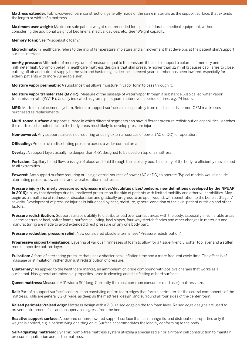**Mattress extender:** Fabric-covered foam construction, generally made of the same materials as the support surface, that extends the length or width of a mattress.

**Maximum user weight:** Maximum safe patient weight recommended for a piece of durable medical equipment, without considering the additional weight of bed linens, medical devices, etc. See "Weight capacity."

**Memory foam:** See "Viscoelastic foam."

**Microclimate:** In healthcare, refers to the mix of temperature, moisture and air movement that develops at the patient skin/support surface interface.

**mmHg pressure:** Millimeter of mercury; unit of measure equal to the pressure it takes to support a column of mercury one millimeter high. Common belief in healthcare mattress design is that skin pressure higher than 32 mmHg causes capillaries to close, cutting off air and nutrient supply to the skin and hastening its decline. In recent years number has been lowered, especially for elderly patients with more vulnerable skin.

**Moisture vapor permeable:** A substance that allows moisture in vapor form to pass through it.

**Moisture vapor transfer rate (MVTR):** Measure of the passage of water vapor through a substance. Also called water vapor transmission rate (WVTR). Usually indicated as grams per square meter over a period of time, e.g. 24 hours.

**MRS:** Mattress replacement system. Refers to support surfaces sold separately from medical beds, or non-OEM mattresses purchased as replacements.

**Multi-zoned surface:** A support surface in which different segments can have different pressure redistribution capabilities. Matches the mattress characteristics to the body areas most likely to develop pressure injuries.

**Non-powered:** Any support surface not requiring or using external sources of power (AC or DC) for operation.

**Offloading:** Process of redistributing pressure across a wider contact area.

**Overlay:** A support layer, usually no deeper than 4-5", designed to be used on top of a mattress.

**Perfusion:** Capillary blood flow; passage of blood and fluid through the capillary bed; the ability of the body to efficiently move blood to all extremities.

**Powered:** Any support surface requiring or using external sources of power (AC or DC) to operate. Typical models would include alternating pressure, low air loss and lateral rotation mattresses.

**Pressure injury (formerly pressure sore/pressure ulcer/decubitus ulcer/bedsore; new definitions developed by the NPUAP**  in 2016): Injury that develops due to unrelieved pressure on the skin of patients with limited mobility and other vulnerabilities. May begin as a small area of redness or discoloration and gradually progress to an open wound, with penetration to the bone at Stage IV severity. Development of pressure injuries is influenced by heat, moisture, general condition of the skin, patient nutrition and other factors.

**Pressure redistribution:** Support surface's ability to distribute load over contact areas with the body. Especially in vulnerable areas like the sacrum or heel, softer foams, surface sculpting, heel slopes, four-way stretch fabrics and other changes in materials and manufacturing are made to avoid extended direct pressure on any one body part.

**Pressure reduction, pressure relief:** Now considered obsolete terms; see "Pressure redistribution."

**Progressive support/resistance:** Layering of various firmnesses of foam to allow for a tissue-friendly, softer top layer and a stiffer, more supportive bottom layer.

**Pulsation:** A form of alternating pressure that uses a shorter peak inflation time and a more frequent cycle time. The effect is of massage or stimulation, rather than just redistribution of pressure.

**Quaternary:** As applied to the healthcare market, an ammonium chloride compound with positive charges that works as a surfactant. Has general antimicrobial properties. Used in cleaning and disinfecting of hard surfaces.

**Queen mattress:** Measures 60" wide x 80" long. Currently the most common consumer (end user) mattress size.

**Rail:** Part of a support surface's construction consisting of firm foam edges that form a perimeter for the central components of the mattress. Rails are generally 2-3" wide, as deep as the mattress' design, and surround all four sides of the center foam.

**Raised perimeter/raised edge:** Mattress design with a 2-3" raised edge on the top foam layer. Raised edge designs are used to prevent entrapment, falls and unsupervised egress from the bed.

**Reactive support surface:** A powered or non-powered support surface that can change its load distribution properties only if weight is applied, e.g. a patient lying or sitting on it. Surface accommodates the load by conforming to the body.

**Self-adjusting mattress:** Dynamic pump-free mattress system utilizing a specialized air or air/foam cell construction to maintain pressure equalization across the mattress.